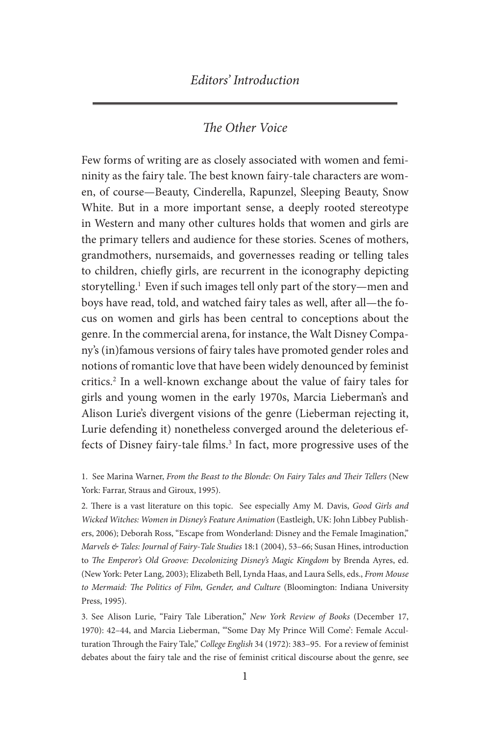## *The Other Voice*

Few forms of writing are as closely associated with women and femininity as the fairy tale. The best known fairy-tale characters are women, of course—Beauty, Cinderella, Rapunzel, Sleeping Beauty, Snow White. But in a more important sense, a deeply rooted stereotype in Western and many other cultures holds that women and girls are the primary tellers and audience for these stories. Scenes of mothers, grandmothers, nursemaids, and governesses reading or telling tales to children, chiefly girls, are recurrent in the iconography depicting storytelling.<sup>1</sup> Even if such images tell only part of the story—men and boys have read, told, and watched fairy tales as well, after all—the focus on women and girls has been central to conceptions about the genre. In the commercial arena, for instance, the Walt Disney Company's (in)famous versions of fairy tales have promoted gender roles and notions of romantic love that have been widely denounced by feminist critics.2 In a well-known exchange about the value of fairy tales for girls and young women in the early 1970s, Marcia Lieberman's and Alison Lurie's divergent visions of the genre (Lieberman rejecting it, Lurie defending it) nonetheless converged around the deleterious effects of Disney fairy-tale films.<sup>3</sup> In fact, more progressive uses of the

1. See Marina Warner, *From the Beast to the Blonde: On Fairy Tales and Their Tellers* (New York: Farrar, Straus and Giroux, 1995).

2. There is a vast literature on this topic. See especially Amy M. Davis, *Good Girls and Wicked Witches: Women in Disney's Feature Animation* (Eastleigh, UK: John Libbey Publishers, 2006); Deborah Ross, "Escape from Wonderland: Disney and the Female Imagination," *Marvels & Tales: Journal of Fairy-Tale Studies* 18:1 (2004), 53–66; Susan Hines, introduction to *The Emperor's Old Groove: Decolonizing Disney's Magic Kingdom* by Brenda Ayres, ed. (New York: Peter Lang, 2003); Elizabeth Bell, Lynda Haas, and Laura Sells, eds., *From Mouse to Mermaid: The Politics of Film, Gender, and Culture* (Bloomington: Indiana University Press, 1995).

3. See Alison Lurie, "Fairy Tale Liberation," *New York Review of Books* (December 17, 1970): 42–44, and Marcia Lieberman, "'Some Day My Prince Will Come': Female Acculturation Through the Fairy Tale," *College English* 34 (1972): 383–95. For a review of feminist debates about the fairy tale and the rise of feminist critical discourse about the genre, see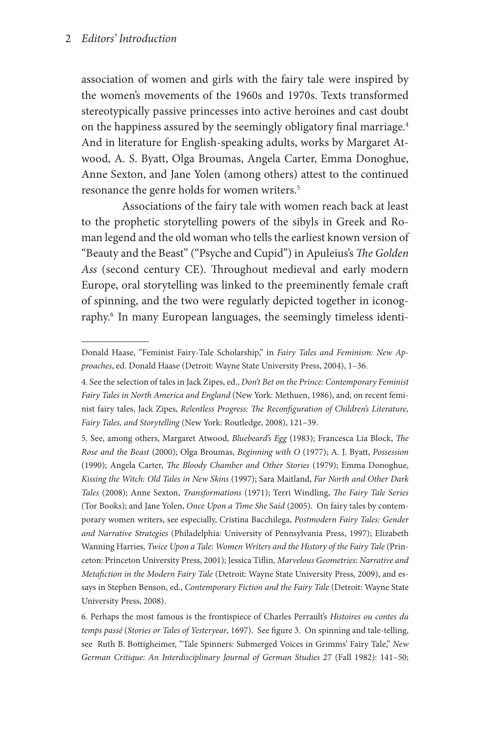### 2 *Editors' Introduction*

association of women and girls with the fairy tale were inspired by the women's movements of the 1960s and 1970s. Texts transformed stereotypically passive princesses into active heroines and cast doubt on the happiness assured by the seemingly obligatory final marriage.<sup>4</sup> And in literature for English-speaking adults, works by Margaret Atwood, A. S. Byatt, Olga Broumas, Angela Carter, Emma Donoghue, Anne Sexton, and Jane Yolen (among others) attest to the continued resonance the genre holds for women writers.<sup>5</sup>

Associations of the fairy tale with women reach back at least to the prophetic storytelling powers of the sibyls in Greek and Roman legend and the old woman who tells the earliest known version of "Beauty and the Beast" ("Psyche and Cupid") in Apuleius's *The Golden Ass* (second century CE). Throughout medieval and early modern Europe, oral storytelling was linked to the preeminently female craft of spinning, and the two were regularly depicted together in iconography.<sup>6</sup> In many European languages, the seemingly timeless identi-

Donald Haase, "Feminist Fairy-Tale Scholarship," in *Fairy Tales and Feminism: New Approaches*, ed. Donald Haase (Detroit: Wayne State University Press, 2004), 1–36.

<sup>4.</sup> See the selection of tales in Jack Zipes, ed., *Don't Bet on the Prince: Contemporary Feminist Fairy Tales in North America and England* (New York: Methuen, 1986), and, on recent feminist fairy tales, Jack Zipes, *Relentless Progress: The Reconfiguration of Children's Literature, Fairy Tales, and Storytelling* (New York: Routledge, 2008), 121–39.

<sup>5.</sup> See, among others, Margaret Atwood, *Bluebeard's Egg* (1983); Francesca Lia Block, *The Rose and the Beast* (2000); Olga Broumas, *Beginning with O* (1977); A. J. Byatt, *Possession* (1990); Angela Carter, *The Bloody Chamber and Other Stories* (1979); Emma Donoghue, *Kissing the Witch: Old Tales in New Skins* (1997); Sara Maitland, *Far North and Other Dark Tales* (2008); Anne Sexton, *Transformations* (1971); Terri Windling, *The Fairy Tale Series*  (Tor Books); and Jane Yolen, *Once Upon a Time She Said* (2005). On fairy tales by contemporary women writers, see especially, Cristina Bacchilega, *Postmodern Fairy Tales: Gender and Narrative Strategies* (Philadelphia: University of Pennsylvania Press, 1997); Elizabeth Wanning Harries, *Twice Upon a Tale: Women Writers and the History of the Fairy Tale* (Princeton: Princeton University Press, 2001); Jessica Tiflin, *Marvelous Geometries: Narrative and Metafiction in the Modern Fairy Tale* (Detroit: Wayne State University Press, 2009), and essays in Stephen Benson, ed., *Contemporary Fiction and the Fairy Tale* (Detroit: Wayne State University Press, 2008).

<sup>6.</sup> Perhaps the most famous is the frontispiece of Charles Perrault's *Histoires ou contes du temps passé* (*Stories or Tales of Yesteryear*, 1697). See figure 3. On spinning and tale-telling, see Ruth B. Bottigheimer, "Tale Spinners: Submerged Voices in Grimms' Fairy Tale," *New German Critique: An Interdisciplinary Journal of German Studies* 27 (Fall 1982): 141–50;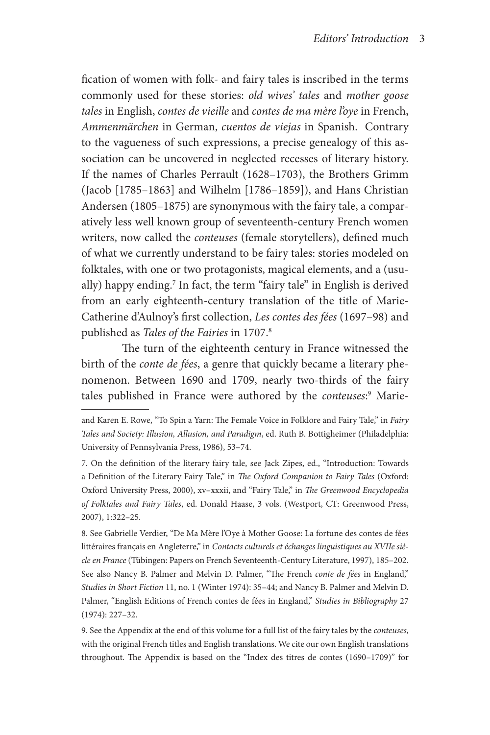fication of women with folk- and fairy tales is inscribed in the terms commonly used for these stories: *old wives' tales* and *mother goose tales* in English, *contes de vieille* and *contes de ma mère l'oye* in French, *Ammenmärchen* in German, *cuentos de viejas* in Spanish. Contrary to the vagueness of such expressions, a precise genealogy of this association can be uncovered in neglected recesses of literary history. If the names of Charles Perrault (1628–1703), the Brothers Grimm (Jacob [1785–1863] and Wilhelm [1786–1859]), and Hans Christian Andersen (1805–1875) are synonymous with the fairy tale, a comparatively less well known group of seventeenth-century French women writers, now called the *conteuses* (female storytellers), defined much of what we currently understand to be fairy tales: stories modeled on folktales, with one or two protagonists, magical elements, and a (usually) happy ending.7 In fact, the term "fairy tale" in English is derived from an early eighteenth-century translation of the title of Marie-Catherine d'Aulnoy's first collection, *Les contes des fées* (1697–98) and published as *Tales of the Fairies* in 1707.8

The turn of the eighteenth century in France witnessed the birth of the *conte de fées*, a genre that quickly became a literary phenomenon. Between 1690 and 1709, nearly two-thirds of the fairy tales published in France were authored by the *conteuses*: 9 Marie-

8. See Gabrielle Verdier, "De Ma Mère l'Oye à Mother Goose: La fortune des contes de fées littéraires français en Angleterre," in Contacts culturels et échanges linguistiques au XVIIe siè*cle en France* (Tübingen: Papers on French Seventeenth-Century Literature, 1997), 185–202. See also Nancy B. Palmer and Melvin D. Palmer, "The French *conte de fées* in England," *Studies in Short Fiction* 11, no. 1 (Winter 1974): 35–44; and Nancy B. Palmer and Melvin D. Palmer, "English Editions of French contes de fées in England," *Studies in Bibliography* 27 (1974): 227–32.

9. See the Appendix at the end of this volume for a full list of the fairy tales by the *conteuses*, with the original French titles and English translations. We cite our own English translations throughout. The Appendix is based on the "Index des titres de contes (1690–1709)" for

and Karen E. Rowe, "To Spin a Yarn: The Female Voice in Folklore and Fairy Tale," in *Fairy Tales and Society: Illusion, Allusion, and Paradigm*, ed. Ruth B. Bottigheimer (Philadelphia: University of Pennsylvania Press, 1986), 53–74.

<sup>7.</sup> On the definition of the literary fairy tale, see Jack Zipes, ed., "Introduction: Towards a Definition of the Literary Fairy Tale," in *The Oxford Companion to Fairy Tales* (Oxford: Oxford University Press, 2000), xv–xxxii, and "Fairy Tale," in *The Greenwood Encyclopedia of Folktales and Fairy Tales*, ed. Donald Haase, 3 vols. (Westport, CT: Greenwood Press, 2007), 1:322–25.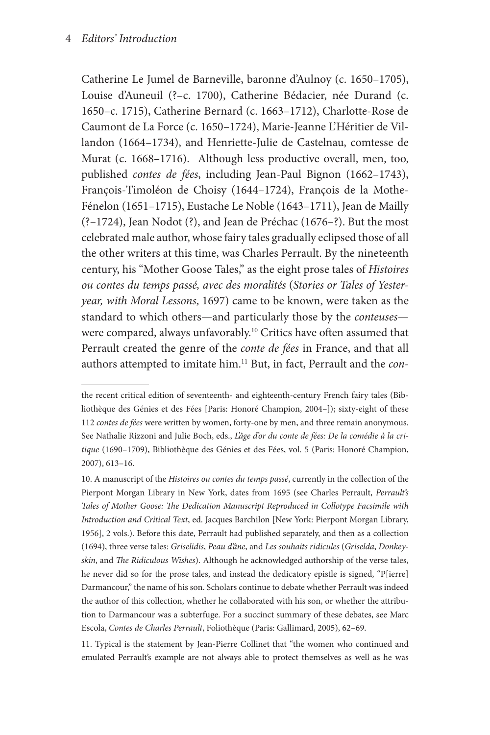Catherine Le Jumel de Barneville, baronne d'Aulnoy (c. 1650–1705), Louise d'Auneuil (?–c. 1700), Catherine Bédacier, née Durand (c. 1650–c. 1715), Catherine Bernard (c. 1663–1712), Charlotte-Rose de Caumont de La Force (c. 1650–1724), Marie-Jeanne L'Héritier de Villandon (1664–1734), and Henriette-Julie de Castelnau, comtesse de Murat (c. 1668–1716). Although less productive overall, men, too, published *contes de fées*, including Jean-Paul Bignon (1662–1743), François-Timoléon de Choisy (1644–1724), François de la Mothe-Fénelon (1651–1715), Eustache Le Noble (1643–1711), Jean de Mailly (?–1724), Jean Nodot (?), and Jean de Préchac (1676–?). But the most celebrated male author, whose fairy tales gradually eclipsed those of all the other writers at this time, was Charles Perrault. By the nineteenth century, his "Mother Goose Tales," as the eight prose tales of *Histoires ou contes du temps passé, avec des moralités* (*Stories or Tales of Yesteryear, with Moral Lessons*, 1697) came to be known, were taken as the standard to which others—and particularly those by the *conteuses* were compared, always unfavorably.<sup>10</sup> Critics have often assumed that Perrault created the genre of the *conte de fées* in France, and that all authors attempted to imitate him.11 But, in fact, Perrault and the *con-*

11. Typical is the statement by Jean-Pierre Collinet that "the women who continued and emulated Perrault's example are not always able to protect themselves as well as he was

the recent critical edition of seventeenth- and eighteenth-century French fairy tales (Bibliothèque des Génies et des Fées [Paris: Honoré Champion, 2004–]); sixty-eight of these 112 *contes de fées* were written by women, forty-one by men, and three remain anonymous. See Nathalie Rizzoni and Julie Boch, eds., *L'âge d'or du conte de fées: De la comédie à la critique* (1690–1709), Bibliothèque des Génies et des Fées, vol. 5 (Paris: Honoré Champion, 2007), 613–16.

<sup>10.</sup> A manuscript of the *Histoires ou contes du temps passé*, currently in the collection of the Pierpont Morgan Library in New York, dates from 1695 (see Charles Perrault, *Perrault's Tales of Mother Goose: The Dedication Manuscript Reproduced in Collotype Facsimile with Introduction and Critical Text*, ed. Jacques Barchilon [New York: Pierpont Morgan Library, 1956], 2 vols.). Before this date, Perrault had published separately, and then as a collection (1694), three verse tales: *Griselidis*, *Peau d'âne*, and *Les souhaits ridicules* (*Griselda*, *Donkeyskin*, and *The Ridiculous Wishes*). Although he acknowledged authorship of the verse tales, he never did so for the prose tales, and instead the dedicatory epistle is signed, "P[ierre] Darmancour," the name of his son. Scholars continue to debate whether Perrault was indeed the author of this collection, whether he collaborated with his son, or whether the attribution to Darmancour was a subterfuge. For a succinct summary of these debates, see Marc Escola, *Contes de Charles Perrault*, Foliothèque (Paris: Gallimard, 2005), 62–69.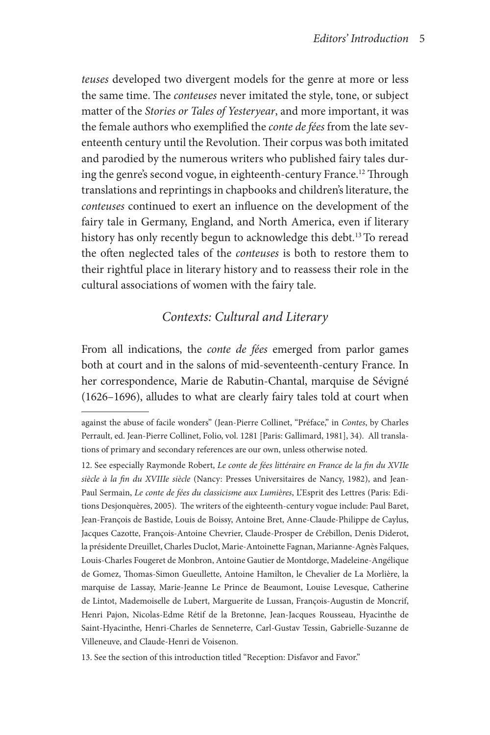*teuses* developed two divergent models for the genre at more or less the same time. The *conteuses* never imitated the style, tone, or subject matter of the *Stories or Tales of Yesteryear*, and more important, it was the female authors who exemplified the *conte de fées* from the late seventeenth century until the Revolution. Their corpus was both imitated and parodied by the numerous writers who published fairy tales during the genre's second vogue, in eighteenth-century France.<sup>12</sup> Through translations and reprintings in chapbooks and children's literature, the *conteuses* continued to exert an influence on the development of the fairy tale in Germany, England, and North America, even if literary history has only recently begun to acknowledge this debt.<sup>13</sup> To reread the often neglected tales of the *conteuses* is both to restore them to their rightful place in literary history and to reassess their role in the cultural associations of women with the fairy tale.

# *Contexts: Cultural and Literary*

From all indications, the *conte de fées* emerged from parlor games both at court and in the salons of mid-seventeenth-century France. In her correspondence, Marie de Rabutin-Chantal, marquise de Sévigné (1626–1696), alludes to what are clearly fairy tales told at court when

against the abuse of facile wonders" (Jean-Pierre Collinet, "Préface," in *Contes*, by Charles Perrault, ed. Jean-Pierre Collinet, Folio, vol. 1281 [Paris: Gallimard, 1981], 34). All translations of primary and secondary references are our own, unless otherwise noted.

<sup>12.</sup> See especially Raymonde Robert, *Le conte de fées littéraire en France de la fin du XVIIe siècle à la fin du XVIIIe siècle* (Nancy: Presses Universitaires de Nancy, 1982), and Jean-Paul Sermain, *Le conte de fées du classicisme aux Lumières*, L'Esprit des Lettres (Paris: Editions Desjonquères, 2005). The writers of the eighteenth-century vogue include: Paul Baret, Jean-François de Bastide, Louis de Boissy, Antoine Bret, Anne-Claude-Philippe de Caylus, Jacques Cazotte, François-Antoine Chevrier, Claude-Prosper de Crébillon, Denis Diderot, la présidente Dreuillet, Charles Duclot, Marie-Antoinette Fagnan, Marianne-Agnès Falques, Louis-Charles Fougeret de Monbron, Antoine Gautier de Montdorge, Madeleine-Angélique de Gomez, Thomas-Simon Gueullette, Antoine Hamilton, le Chevalier de La Morlière, la marquise de Lassay, Marie-Jeanne Le Prince de Beaumont, Louise Levesque, Catherine de Lintot, Mademoiselle de Lubert, Marguerite de Lussan, François-Augustin de Moncrif, Henri Pajon, Nicolas-Edme Rétif de la Bretonne, Jean-Jacques Rousseau, Hyacinthe de Saint-Hyacinthe, Henri-Charles de Senneterre, Carl-Gustav Tessin, Gabrielle-Suzanne de Villeneuve, and Claude-Henri de Voisenon.

<sup>13.</sup> See the section of this introduction titled "Reception: Disfavor and Favor."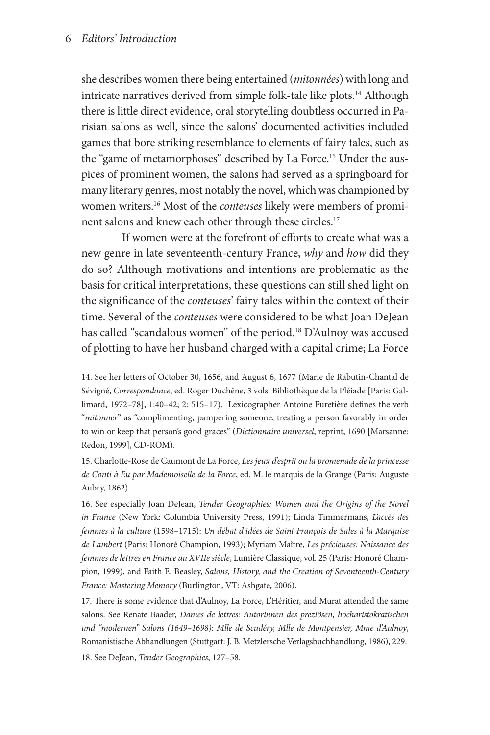#### 6 *Editors' Introduction*

she describes women there being entertained (*mitonnées*) with long and intricate narratives derived from simple folk-tale like plots.14 Although there is little direct evidence, oral storytelling doubtless occurred in Parisian salons as well, since the salons' documented activities included games that bore striking resemblance to elements of fairy tales, such as the "game of metamorphoses" described by La Force.<sup>15</sup> Under the auspices of prominent women, the salons had served as a springboard for many literary genres, most notably the novel, which was championed by women writers.16 Most of the *conteuses* likely were members of prominent salons and knew each other through these circles.<sup>17</sup>

If women were at the forefront of efforts to create what was a new genre in late seventeenth-century France, *why* and *how* did they do so? Although motivations and intentions are problematic as the basis for critical interpretations, these questions can still shed light on the significance of the *conteuses*' fairy tales within the context of their time. Several of the *conteuses* were considered to be what Joan DeJean has called "scandalous women" of the period.<sup>18</sup> D'Aulnoy was accused of plotting to have her husband charged with a capital crime; La Force

14. See her letters of October 30, 1656, and August 6, 1677 (Marie de Rabutin-Chantal de Sévigné, *Correspondance*, ed. Roger Duchêne, 3 vols. Bibliothèque de la Pléiade [Paris: Gallimard, 1972–78], 1:40–42; 2: 515–17). Lexicographer Antoine Furetière defines the verb "*mitonner*" as "complimenting, pampering someone, treating a person favorably in order to win or keep that person's good graces" (*Dictionnaire universel*, reprint, 1690 [Marsanne: Redon, 1999], CD-ROM).

15. Charlotte-Rose de Caumont de La Force, *Les jeux d'esprit ou la promenade de la princesse de Conti à Eu par Mademoiselle de la Force*, ed. M. le marquis de la Grange (Paris: Auguste Aubry, 1862).

16. See especially Joan DeJean, *Tender Geographies: Women and the Origins of the Novel in France* (New York: Columbia University Press, 1991); Linda Timmermans, *L'accès des femmes à la culture* (1598–1715): *Un débat d'idées de Saint François de Sales à la Marquise de Lambert* (Paris: Honoré Champion, 1993); Myriam Maître, *Les précieuses: Naissance des femmes de lettres en France au XVIIe siècle*, Lumière Classique, vol. 25 (Paris: Honoré Champion, 1999), and Faith E. Beasley, *Salons, History, and the Creation of Seventeenth-Century France: Mastering Memory* (Burlington, VT: Ashgate, 2006).

17. There is some evidence that d'Aulnoy, La Force, L'Héritier, and Murat attended the same salons. See Renate Baader, *Dames de lettres: Autorinnen des preziösen, hocharistokratischen und "modernen" Salons (1649–1698): Mlle de Scudéry, Mlle de Montpensier, Mme d'Aulnoy*, Romanistische Abhandlungen (Stuttgart: J. B. Metzlersche Verlagsbuchhandlung, 1986), 229. 18. See DeJean, *Tender Geographies*, 127–58.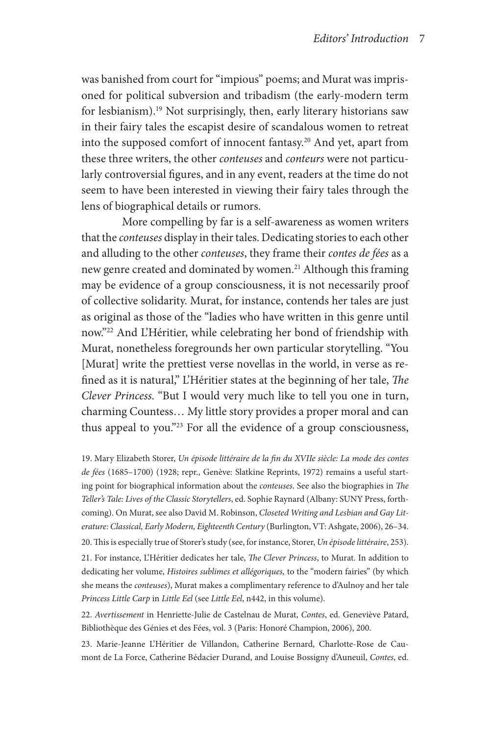was banished from court for "impious" poems; and Murat was imprisoned for political subversion and tribadism (the early-modern term for lesbianism).<sup>19</sup> Not surprisingly, then, early literary historians saw in their fairy tales the escapist desire of scandalous women to retreat into the supposed comfort of innocent fantasy.20 And yet, apart from these three writers, the other *conteuses* and *conteurs* were not particularly controversial figures, and in any event, readers at the time do not seem to have been interested in viewing their fairy tales through the lens of biographical details or rumors.

More compelling by far is a self-awareness as women writers that the *conteuses* display in their tales. Dedicating stories to each other and alluding to the other *conteuses*, they frame their *contes de fées* as a new genre created and dominated by women.<sup>21</sup> Although this framing may be evidence of a group consciousness, it is not necessarily proof of collective solidarity. Murat, for instance, contends her tales are just as original as those of the "ladies who have written in this genre until now."22 And L'Héritier, while celebrating her bond of friendship with Murat, nonetheless foregrounds her own particular storytelling. "You [Murat] write the prettiest verse novellas in the world, in verse as refined as it is natural," L'Héritier states at the beginning of her tale, *The Clever Princess*. "But I would very much like to tell you one in turn, charming Countess… My little story provides a proper moral and can thus appeal to you."23 For all the evidence of a group consciousness,

19. Mary Elizabeth Storer, *Un épisode littéraire de la fin du XVIIe siècle: La mode des contes de fées* (1685–1700) (1928; repr., Genève: Slatkine Reprints, 1972) remains a useful starting point for biographical information about the *conteuses*. See also the biographies in *The Teller's Tale: Lives of the Classic Storytellers*, ed. Sophie Raynard (Albany: SUNY Press, forthcoming). On Murat, see also David M. Robinson, *Closeted Writing and Lesbian and Gay Literature: Classical, Early Modern, Eighteenth Century* (Burlington, VT: Ashgate, 2006), 26–34. 20. This is especially true of Storer's study (see, for instance, Storer, *Un épisode littéraire*, 253).

21. For instance, L'Héritier dedicates her tale, *The Clever Princess*, to Murat. In addition to dedicating her volume, *Histoires sublimes et allégoriques,* to the "modern fairies" (by which she means the *conteuses*), Murat makes a complimentary reference to d'Aulnoy and her tale *Princess Little Carp* in *Little Eel* (see *Little Eel*, n442, in this volume).

22. *Avertissement* in Henriette-Julie de Castelnau de Murat, *Contes*, ed. Geneviève Patard, Bibliothèque des Génies et des Fées, vol. 3 (Paris: Honoré Champion, 2006), 200.

23. Marie-Jeanne L'Héritier de Villandon, Catherine Bernard, Charlotte-Rose de Caumont de La Force, Catherine Bédacier Durand, and Louise Bossigny d'Auneuil, *Contes*, ed.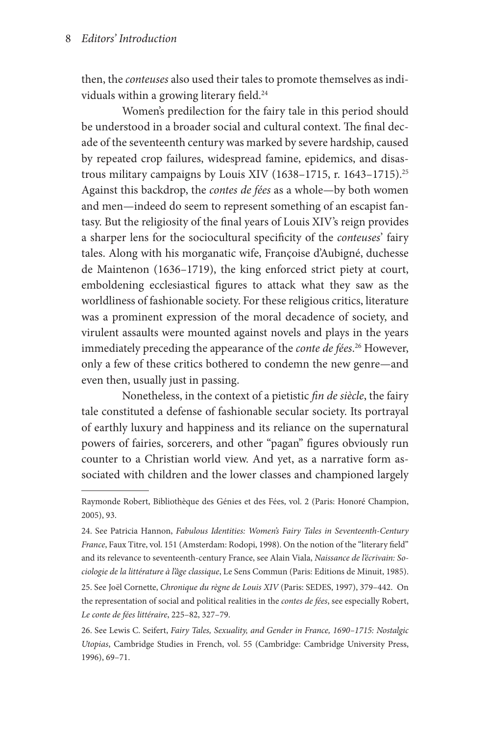then, the *conteuses* also used their tales to promote themselves as individuals within a growing literary field.<sup>24</sup>

Women's predilection for the fairy tale in this period should be understood in a broader social and cultural context. The final decade of the seventeenth century was marked by severe hardship, caused by repeated crop failures, widespread famine, epidemics, and disastrous military campaigns by Louis XIV (1638–1715, r. 1643–1715).<sup>25</sup> Against this backdrop, the *contes de fées* as a whole—by both women and men—indeed do seem to represent something of an escapist fantasy. But the religiosity of the final years of Louis XIV's reign provides a sharper lens for the sociocultural specificity of the *conteuses*' fairy tales. Along with his morganatic wife, Françoise d'Aubigné, duchesse de Maintenon (1636–1719), the king enforced strict piety at court, emboldening ecclesiastical figures to attack what they saw as the worldliness of fashionable society. For these religious critics, literature was a prominent expression of the moral decadence of society, and virulent assaults were mounted against novels and plays in the years immediately preceding the appearance of the *conte de fées*. 26 However, only a few of these critics bothered to condemn the new genre—and even then, usually just in passing.

Nonetheless, in the context of a pietistic *fin de siècle*, the fairy tale constituted a defense of fashionable secular society. Its portrayal of earthly luxury and happiness and its reliance on the supernatural powers of fairies, sorcerers, and other "pagan" figures obviously run counter to a Christian world view. And yet, as a narrative form associated with children and the lower classes and championed largely

25. See Joël Cornette, *Chronique du règne de Louis XIV* (Paris: SEDES, 1997), 379–442. On the representation of social and political realities in the *contes de fées*, see especially Robert, *Le conte de fées littéraire*, 225–82, 327–79.

Raymonde Robert, Bibliothèque des Génies et des Fées, vol. 2 (Paris: Honoré Champion, 2005), 93.

<sup>24.</sup> See Patricia Hannon, *Fabulous Identities: Women's Fairy Tales in Seventeenth-Century France*, Faux Titre, vol. 151 (Amsterdam: Rodopi, 1998). On the notion of the "literary field" and its relevance to seventeenth-century France, see Alain Viala, *Naissance de l'écrivain: Sociologie de la littérature à l'âge classique*, Le Sens Commun (Paris: Editions de Minuit, 1985).

<sup>26.</sup> See Lewis C. Seifert, *Fairy Tales, Sexuality, and Gender in France, 1690–1715: Nostalgic Utopias*, Cambridge Studies in French, vol. 55 (Cambridge: Cambridge University Press, 1996), 69–71.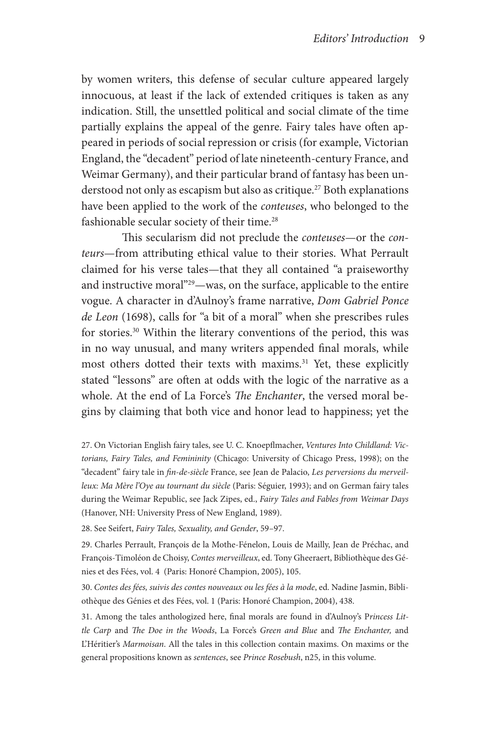by women writers, this defense of secular culture appeared largely innocuous, at least if the lack of extended critiques is taken as any indication. Still, the unsettled political and social climate of the time partially explains the appeal of the genre. Fairy tales have often appeared in periods of social repression or crisis (for example, Victorian England, the "decadent" period of late nineteenth-century France, and Weimar Germany), and their particular brand of fantasy has been understood not only as escapism but also as critique.<sup>27</sup> Both explanations have been applied to the work of the *conteuses*, who belonged to the fashionable secular society of their time.<sup>28</sup>

This secularism did not preclude the *conteuses*—or the *conteurs*—from attributing ethical value to their stories. What Perrault claimed for his verse tales—that they all contained "a praiseworthy and instructive moral"29—was, on the surface, applicable to the entire vogue. A character in d'Aulnoy's frame narrative, *Dom Gabriel Ponce de Leon* (1698), calls for "a bit of a moral" when she prescribes rules for stories.<sup>30</sup> Within the literary conventions of the period, this was in no way unusual, and many writers appended final morals, while most others dotted their texts with maxims.<sup>31</sup> Yet, these explicitly stated "lessons" are often at odds with the logic of the narrative as a whole. At the end of La Force's *The Enchanter*, the versed moral begins by claiming that both vice and honor lead to happiness; yet the

27. On Victorian English fairy tales, see U. C. Knoepflmacher, *Ventures Into Childland: Victorians, Fairy Tales, and Femininity* (Chicago: University of Chicago Press, 1998); on the "decadent" fairy tale in *fin-de-siècle* France, see Jean de Palacio, *Les perversions du merveilleux: Ma Mère l'Oye au tournant du siècle* (Paris: Séguier, 1993); and on German fairy tales during the Weimar Republic, see Jack Zipes, ed., *Fairy Tales and Fables from Weimar Days* (Hanover, NH: University Press of New England, 1989).

28. See Seifert, *Fairy Tales, Sexuality, and Gender*, 59–97.

29. Charles Perrault, François de la Mothe-Fénelon, Louis de Mailly, Jean de Préchac, and François-Timoléon de Choisy, *Contes merveilleux*, ed. Tony Gheeraert, Bibliothèque des Génies et des Fées, vol. 4 (Paris: Honoré Champion, 2005), 105.

30. *Contes des fées, suivis des contes nouveaux ou les fées à la mode*, ed. Nadine Jasmin, Bibliothèque des Génies et des Fées, vol. 1 (Paris: Honoré Champion, 2004), 438.

31. Among the tales anthologized here, final morals are found in d'Aulnoy's P*rincess Little Carp* and *The Doe in the Woods*, La Force's *Green and Blue* and *The Enchanter,* and L'Héritier's *Marmoisan*. All the tales in this collection contain maxims. On maxims or the general propositions known as *sentences*, see *Prince Rosebush*, n25, in this volume.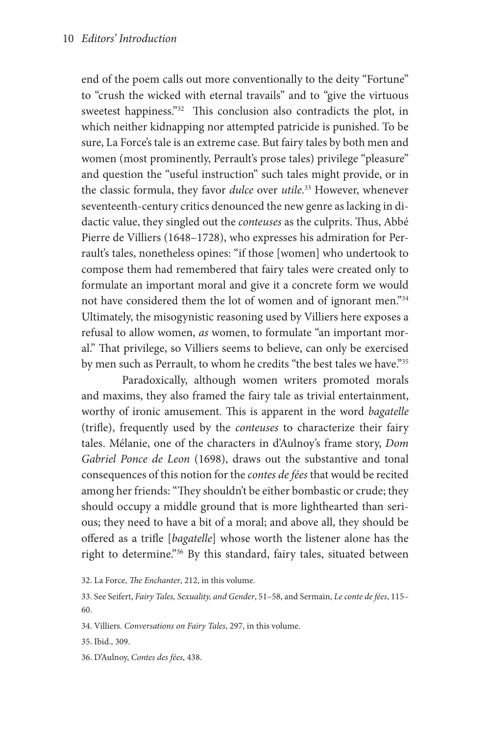end of the poem calls out more conventionally to the deity "Fortune" to "crush the wicked with eternal travails" and to "give the virtuous sweetest happiness."32 This conclusion also contradicts the plot, in which neither kidnapping nor attempted patricide is punished. To be sure, La Force's tale is an extreme case. But fairy tales by both men and women (most prominently, Perrault's prose tales) privilege "pleasure" and question the "useful instruction" such tales might provide, or in the classic formula, they favor *dulce* over *utile*. 33 However, whenever seventeenth-century critics denounced the new genre as lacking in didactic value, they singled out the *conteuses* as the culprits. Thus, Abbé Pierre de Villiers (1648–1728), who expresses his admiration for Perrault's tales, nonetheless opines: "if those [women] who undertook to compose them had remembered that fairy tales were created only to formulate an important moral and give it a concrete form we would not have considered them the lot of women and of ignorant men."34 Ultimately, the misogynistic reasoning used by Villiers here exposes a refusal to allow women, *as* women, to formulate "an important moral." That privilege, so Villiers seems to believe, can only be exercised by men such as Perrault, to whom he credits "the best tales we have."<sup>35</sup>

Paradoxically, although women writers promoted morals and maxims, they also framed the fairy tale as trivial entertainment, worthy of ironic amusement. This is apparent in the word *bagatelle* (trifle), frequently used by the *conteuses* to characterize their fairy tales. Mélanie, one of the characters in d'Aulnoy's frame story, *Dom Gabriel Ponce de Leon* (1698), draws out the substantive and tonal consequences of this notion for the *contes de fées* that would be recited among her friends: "They shouldn't be either bombastic or crude; they should occupy a middle ground that is more lighthearted than serious; they need to have a bit of a moral; and above all, they should be offered as a trifle [*bagatelle*] whose worth the listener alone has the right to determine."<sup>36</sup> By this standard, fairy tales, situated between

32. La Force, *The Enchanter*, 212, in this volume.

33. See Seifert, *Fairy Tales, Sexuality, and Gender*, 51–58, and Sermain, *Le conte de fées*, 115– 60.

34. Villiers. *Conversations on Fairy Tales*, 297, in this volume.

35. Ibid., 309.

36. D'Aulnoy, *Contes des fées*, 438.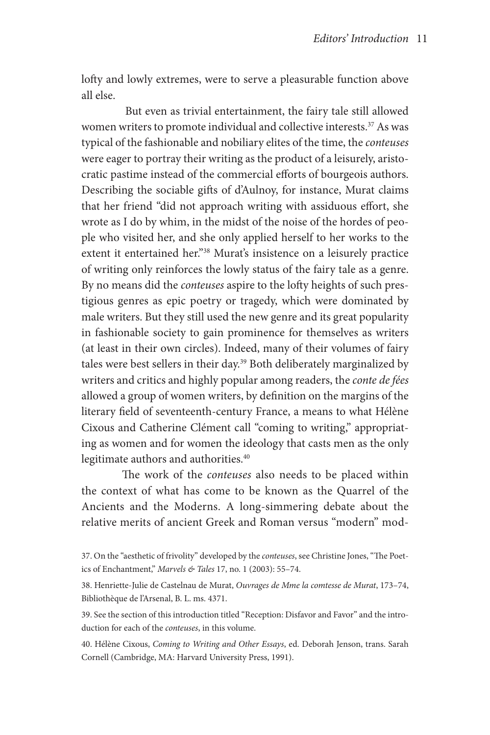lofty and lowly extremes, were to serve a pleasurable function above all else.

 But even as trivial entertainment, the fairy tale still allowed women writers to promote individual and collective interests.<sup>37</sup> As was typical of the fashionable and nobiliary elites of the time, the *conteuses* were eager to portray their writing as the product of a leisurely, aristocratic pastime instead of the commercial efforts of bourgeois authors. Describing the sociable gifts of d'Aulnoy, for instance, Murat claims that her friend "did not approach writing with assiduous effort, she wrote as I do by whim, in the midst of the noise of the hordes of people who visited her, and she only applied herself to her works to the extent it entertained her."38 Murat's insistence on a leisurely practice of writing only reinforces the lowly status of the fairy tale as a genre. By no means did the *conteuses* aspire to the lofty heights of such prestigious genres as epic poetry or tragedy, which were dominated by male writers. But they still used the new genre and its great popularity in fashionable society to gain prominence for themselves as writers (at least in their own circles). Indeed, many of their volumes of fairy tales were best sellers in their day.39 Both deliberately marginalized by writers and critics and highly popular among readers, the *conte de fées* allowed a group of women writers, by definition on the margins of the literary field of seventeenth-century France, a means to what Hélène Cixous and Catherine Clément call "coming to writing," appropriating as women and for women the ideology that casts men as the only legitimate authors and authorities.<sup>40</sup>

The work of the *conteuses* also needs to be placed within the context of what has come to be known as the Quarrel of the Ancients and the Moderns. A long-simmering debate about the relative merits of ancient Greek and Roman versus "modern" mod-

39. See the section of this introduction titled "Reception: Disfavor and Favor" and the introduction for each of the *conteuses*, in this volume.

40. Hélène Cixous, *Coming to Writing and Other Essays*, ed. Deborah Jenson, trans. Sarah Cornell (Cambridge, MA: Harvard University Press, 1991).

<sup>37.</sup> On the "aesthetic of frivolity" developed by the *conteuses*, see Christine Jones, "The Poetics of Enchantment," *Marvels & Tales* 17, no. 1 (2003): 55–74.

<sup>38.</sup> Henriette-Julie de Castelnau de Murat, *Ouvrages de Mme la comtesse de Murat*, 173–74, Bibliothèque de l'Arsenal, B. L. ms. 4371.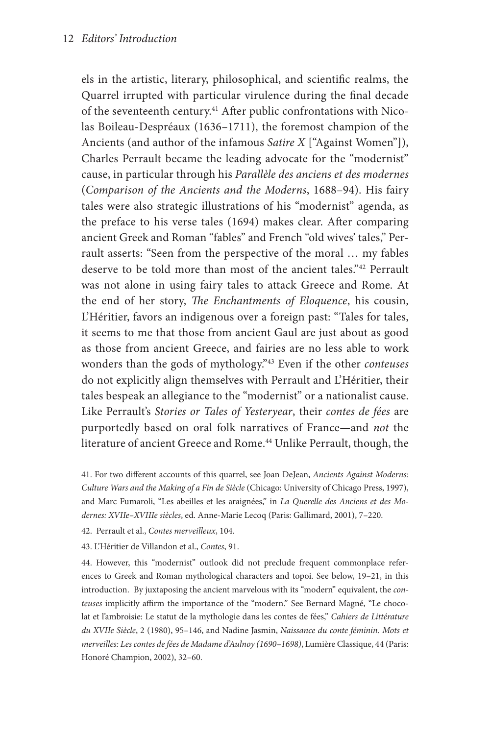els in the artistic, literary, philosophical, and scientific realms, the Quarrel irrupted with particular virulence during the final decade of the seventeenth century.<sup>41</sup> After public confrontations with Nicolas Boileau-Despréaux (1636–1711), the foremost champion of the Ancients (and author of the infamous *Satire X* ["Against Women"]), Charles Perrault became the leading advocate for the "modernist" cause, in particular through his *Parallèle des anciens et des modernes*  (*Comparison of the Ancients and the Moderns*, 1688–94). His fairy tales were also strategic illustrations of his "modernist" agenda, as the preface to his verse tales (1694) makes clear. After comparing ancient Greek and Roman "fables" and French "old wives' tales," Perrault asserts: "Seen from the perspective of the moral … my fables deserve to be told more than most of the ancient tales."42 Perrault was not alone in using fairy tales to attack Greece and Rome. At the end of her story, *The Enchantments of Eloquence*, his cousin, L'Héritier, favors an indigenous over a foreign past: "Tales for tales, it seems to me that those from ancient Gaul are just about as good as those from ancient Greece, and fairies are no less able to work wonders than the gods of mythology."43 Even if the other *conteuses* do not explicitly align themselves with Perrault and L'Héritier, their tales bespeak an allegiance to the "modernist" or a nationalist cause. Like Perrault's *Stories or Tales of Yesteryear*, their *contes de fées* are purportedly based on oral folk narratives of France—and *not* the literature of ancient Greece and Rome.<sup>44</sup> Unlike Perrault, though, the

41. For two different accounts of this quarrel, see Joan DeJean, *Ancients Against Moderns: Culture Wars and the Making of a Fin de Siècle* (Chicago: University of Chicago Press, 1997), and Marc Fumaroli, "Les abeilles et les araignées," in *La Querelle des Anciens et des Modernes: XVIIe–XVIIIe siècles*, ed. Anne-Marie Lecoq (Paris: Gallimard, 2001), 7–220.

42. Perrault et al., *Contes merveilleux*, 104.

43. L'Héritier de Villandon et al., *Contes*, 91.

44. However, this "modernist" outlook did not preclude frequent commonplace references to Greek and Roman mythological characters and topoi. See below, 19–21, in this introduction. By juxtaposing the ancient marvelous with its "modern" equivalent, the *conteuses* implicitly affirm the importance of the "modern." See Bernard Magné, "Le chocolat et l'ambroisie: Le statut de la mythologie dans les contes de fées," *Cahiers de Littérature du XVIIe Siècle*, 2 (1980), 95–146, and Nadine Jasmin, *Naissance du conte féminin. Mots et merveilles: Les contes de fées de Madame d'Aulnoy (1690–1698)*, Lumière Classique, 44 (Paris: Honoré Champion, 2002), 32–60.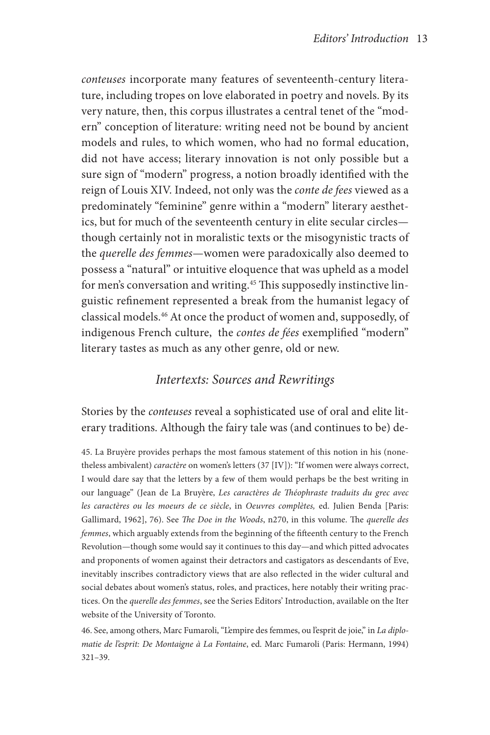*conteuses* incorporate many features of seventeenth-century literature, including tropes on love elaborated in poetry and novels. By its very nature, then, this corpus illustrates a central tenet of the "modern" conception of literature: writing need not be bound by ancient models and rules, to which women, who had no formal education, did not have access; literary innovation is not only possible but a sure sign of "modern" progress, a notion broadly identified with the reign of Louis XIV. Indeed, not only was the *conte de fees* viewed as a predominately "feminine" genre within a "modern" literary aesthetics, but for much of the seventeenth century in elite secular circles though certainly not in moralistic texts or the misogynistic tracts of the *querelle des femmes*—women were paradoxically also deemed to possess a "natural" or intuitive eloquence that was upheld as a model for men's conversation and writing.<sup>45</sup> This supposedly instinctive linguistic refinement represented a break from the humanist legacy of classical models.46 At once the product of women and, supposedly, of indigenous French culture, the *contes de fées* exemplified "modern" literary tastes as much as any other genre, old or new.

## *Intertexts: Sources and Rewritings*

Stories by the *conteuses* reveal a sophisticated use of oral and elite literary traditions. Although the fairy tale was (and continues to be) de-

45. La Bruyère provides perhaps the most famous statement of this notion in his (nonetheless ambivalent) *caractère* on women's letters (37 [IV]): "If women were always correct, I would dare say that the letters by a few of them would perhaps be the best writing in our language" (Jean de La Bruyère, *Les caractères de Théophraste traduits du grec avec les caractères ou les moeurs de ce siècle*, in *Oeuvres complètes,* ed. Julien Benda [Paris: Gallimard, 1962], 76). See *The Doe in the Woods*, n270, in this volume. The *querelle des femmes*, which arguably extends from the beginning of the fifteenth century to the French Revolution—though some would say it continues to this day—and which pitted advocates and proponents of women against their detractors and castigators as descendants of Eve, inevitably inscribes contradictory views that are also reflected in the wider cultural and social debates about women's status, roles, and practices, here notably their writing practices. On the *querelle des femmes*, see the Series Editors' Introduction, available on the Iter website of the University of Toronto.

46. See, among others, Marc Fumaroli, "L'empire des femmes, ou l'esprit de joie," in *La diplomatie de l'esprit: De Montaigne à La Fontaine*, ed. Marc Fumaroli (Paris: Hermann, 1994) 321–39.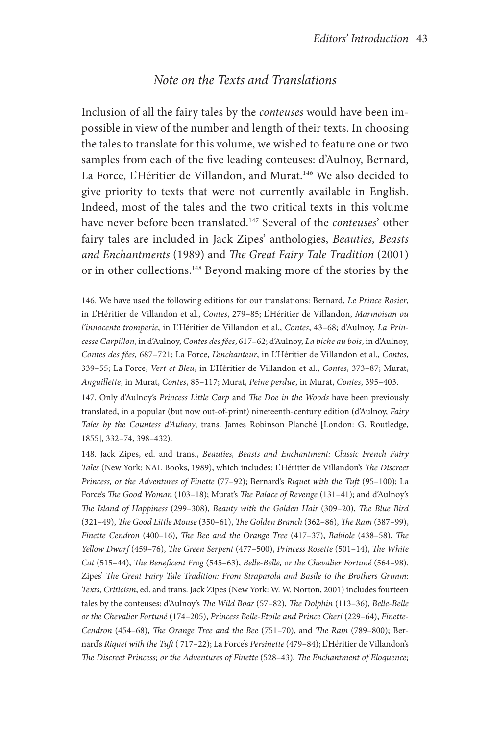### *Note on the Texts and Translations*

Inclusion of all the fairy tales by the *conteuses* would have been impossible in view of the number and length of their texts. In choosing the tales to translate for this volume, we wished to feature one or two samples from each of the five leading conteuses: d'Aulnoy, Bernard, La Force, L'Héritier de Villandon, and Murat.<sup>146</sup> We also decided to give priority to texts that were not currently available in English. Indeed, most of the tales and the two critical texts in this volume have never before been translated.147 Several of the *conteuses*' other fairy tales are included in Jack Zipes' anthologies, *Beauties, Beasts and Enchantments* (1989) and *The Great Fairy Tale Tradition* (2001) or in other collections.<sup>148</sup> Beyond making more of the stories by the

146. We have used the following editions for our translations: Bernard, *Le Prince Rosier*, in L'Héritier de Villandon et al., *Contes*, 279–85; L'Héritier de Villandon, *Marmoisan ou l'innocente tromperie*, in L'Héritier de Villandon et al., *Contes*, 43–68; d'Aulnoy, *La Princesse Carpillon*, in d'Aulnoy, *Contes des fées*, 617–62; d'Aulnoy, *La biche au bois*, in d'Aulnoy, *Contes des fées,* 687–721; La Force, *L'enchanteur*, in L'Héritier de Villandon et al., *Contes*, 339–55; La Force, *Vert et Bleu*, in L'Héritier de Villandon et al., *Contes*, 373–87; Murat, *Anguillette*, in Murat, *Contes*, 85–117; Murat, *Peine perdue*, in Murat, *Contes*, 395–403.

147. Only d'Aulnoy's *Princess Little Carp* and *The Doe in the Woods* have been previously translated, in a popular (but now out-of-print) nineteenth-century edition (d'Aulnoy, *Fairy Tales by the Countess d'Aulnoy*, trans. James Robinson Planché [London: G. Routledge, 1855], 332–74, 398–432).

148. Jack Zipes, ed. and trans., *Beauties, Beasts and Enchantment: Classic French Fairy Tales* (New York: NAL Books, 1989), which includes: L'Héritier de Villandon's *The Discreet Princess, or the Adventures of Finette* (77–92); Bernard's *Riquet with the Tuft* (95–100); La Force's *The Good Woman* (103–18); Murat's *The Palace of Revenge* (131–41); and d'Aulnoy's *The Island of Happiness* (299–308), *Beauty with the Golden Hair* (309–20), *The Blue Bird*  (321–49), *The Good Little Mouse* (350–61), *The Golden Branch* (362–86), *The Ram* (387–99), *Finette Cendron* (400–16), *The Bee and the Orange Tree* (417–37), *Babiole* (438–58), *The Yellow Dwarf* (459–76), *The Green Serpent* (477–500), *Princess Rosette* (501–14), *The White Cat* (515–44), *The Beneficent Frog* (545–63), *Belle-Belle, or the Chevalier Fortuné* (564–98). Zipes' *The Great Fairy Tale Tradition: From Straparola and Basile to the Brothers Grimm: Texts, Criticism*, ed. and trans. Jack Zipes (New York: W. W. Norton, 2001) includes fourteen tales by the conteuses: d'Aulnoy's *The Wild Boar* (57–82), *The Dolphin* (113–36), *Belle-Belle or the Chevalier Fortuné* (174–205), *Princess Belle-Etoile and Prince Cheri* (229–64), *Finette-Cendron* (454–68), *The Orange Tree and the Bee* (751–70), and *The Ram* (789–800); Bernard's *Riquet with the Tuft* ( 717–22); La Force's *Persinette* (479–84); L'Héritier de Villandon's *The Discreet Princess; or the Adventures of Finette* (528–43), *The Enchantment of Eloquence;*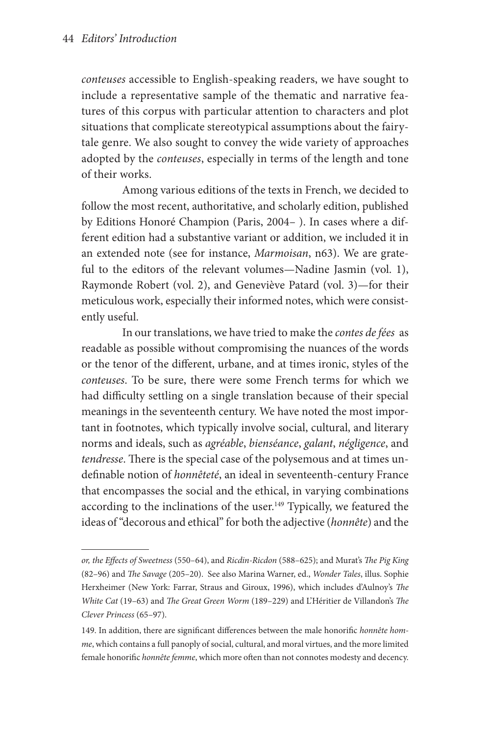*conteuses* accessible to English-speaking readers, we have sought to include a representative sample of the thematic and narrative features of this corpus with particular attention to characters and plot situations that complicate stereotypical assumptions about the fairytale genre. We also sought to convey the wide variety of approaches adopted by the *conteuses*, especially in terms of the length and tone of their works.

Among various editions of the texts in French, we decided to follow the most recent, authoritative, and scholarly edition, published by Editions Honoré Champion (Paris, 2004– ). In cases where a different edition had a substantive variant or addition, we included it in an extended note (see for instance, *Marmoisan*, n63). We are grateful to the editors of the relevant volumes—Nadine Jasmin (vol. 1), Raymonde Robert (vol. 2), and Geneviève Patard (vol. 3)—for their meticulous work, especially their informed notes, which were consistently useful.

In our translations, we have tried to make the *contes de fées* as readable as possible without compromising the nuances of the words or the tenor of the different, urbane, and at times ironic, styles of the *conteuses*. To be sure, there were some French terms for which we had difficulty settling on a single translation because of their special meanings in the seventeenth century. We have noted the most important in footnotes, which typically involve social, cultural, and literary norms and ideals, such as *agréable*, *bienséance*, *galant*, *négligence*, and *tendresse*. There is the special case of the polysemous and at times undefinable notion of *honnêteté*, an ideal in seventeenth-century France that encompasses the social and the ethical, in varying combinations according to the inclinations of the user.<sup>149</sup> Typically, we featured the ideas of "decorous and ethical" for both the adjective (*honnête*) and the

*or, the Effects of Sweetness* (550–64), and *Ricdin-Ricdon* (588–625); and Murat's *The Pig King*  (82–96) and *The Savage* (205–20). See also Marina Warner, ed., *Wonder Tales*, illus. Sophie Herxheimer (New York: Farrar, Straus and Giroux, 1996), which includes d'Aulnoy's *The White Cat* (19–63) and *The Great Green Worm* (189–229) and L'Héritier de Villandon's *The Clever Princess* (65–97).

<sup>149.</sup> In addition, there are significant differences between the male honorific *honnête homme*, which contains a full panoply of social, cultural, and moral virtues, and the more limited female honorific *honnête femme*, which more often than not connotes modesty and decency.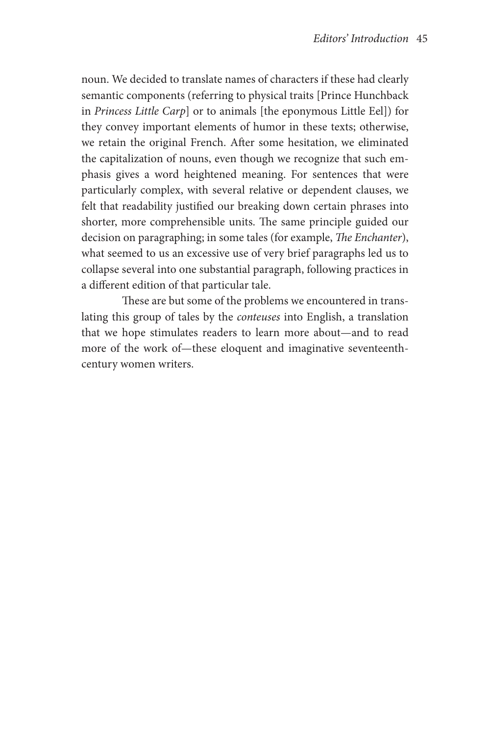noun. We decided to translate names of characters if these had clearly semantic components (referring to physical traits [Prince Hunchback in *Princess Little Carp*] or to animals [the eponymous Little Eel]) for they convey important elements of humor in these texts; otherwise, we retain the original French. After some hesitation, we eliminated the capitalization of nouns, even though we recognize that such emphasis gives a word heightened meaning. For sentences that were particularly complex, with several relative or dependent clauses, we felt that readability justified our breaking down certain phrases into shorter, more comprehensible units. The same principle guided our decision on paragraphing; in some tales (for example, *The Enchanter*), what seemed to us an excessive use of very brief paragraphs led us to collapse several into one substantial paragraph, following practices in a different edition of that particular tale.

These are but some of the problems we encountered in translating this group of tales by the *conteuses* into English, a translation that we hope stimulates readers to learn more about—and to read more of the work of—these eloquent and imaginative seventeenthcentury women writers.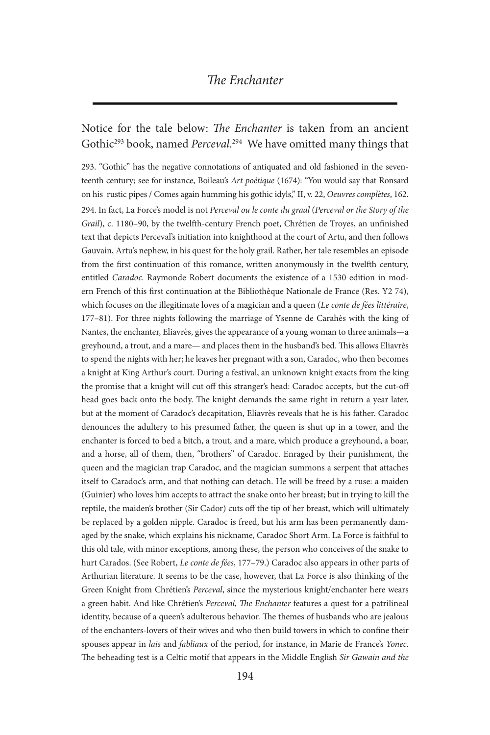## *The Enchanter*

# Notice for the tale below: *The Enchanter* is taken from an ancient Gothic293 book, named *Perceval*. 294 We have omitted many things that

293. "Gothic" has the negative connotations of antiquated and old fashioned in the seventeenth century; see for instance, Boileau's *Art poétique* (1674): "You would say that Ronsard on his rustic pipes / Comes again humming his gothic idyls," II, v. 22, *Oeuvres complètes*, 162. 294. In fact, La Force's model is not *Perceval ou le conte du graal* (*Perceval or the Story of the Grail*), c. 1180–90, by the twelfth-century French poet, Chrétien de Troyes, an unfinished text that depicts Perceval's initiation into knighthood at the court of Artu, and then follows Gauvain, Artu's nephew, in his quest for the holy grail. Rather, her tale resembles an episode from the first continuation of this romance, written anonymously in the twelfth century, entitled *Caradoc*. Raymonde Robert documents the existence of a 1530 edition in modern French of this first continuation at the Bibliothèque Nationale de France (Res. Y2 74), which focuses on the illegitimate loves of a magician and a queen (*Le conte de fées littéraire*, 177–81). For three nights following the marriage of Ysenne de Carahès with the king of Nantes, the enchanter, Eliavrès, gives the appearance of a young woman to three animals—a greyhound, a trout, and a mare— and places them in the husband's bed. This allows Eliavrès to spend the nights with her; he leaves her pregnant with a son, Caradoc, who then becomes a knight at King Arthur's court. During a festival, an unknown knight exacts from the king the promise that a knight will cut off this stranger's head: Caradoc accepts, but the cut-off head goes back onto the body. The knight demands the same right in return a year later, but at the moment of Caradoc's decapitation, Eliavrès reveals that he is his father. Caradoc denounces the adultery to his presumed father, the queen is shut up in a tower, and the enchanter is forced to bed a bitch, a trout, and a mare, which produce a greyhound, a boar, and a horse, all of them, then, "brothers" of Caradoc. Enraged by their punishment, the queen and the magician trap Caradoc, and the magician summons a serpent that attaches itself to Caradoc's arm, and that nothing can detach. He will be freed by a ruse: a maiden (Guinier) who loves him accepts to attract the snake onto her breast; but in trying to kill the reptile, the maiden's brother (Sir Cador) cuts off the tip of her breast, which will ultimately be replaced by a golden nipple. Caradoc is freed, but his arm has been permanently damaged by the snake, which explains his nickname, Caradoc Short Arm. La Force is faithful to this old tale, with minor exceptions, among these, the person who conceives of the snake to hurt Carados. (See Robert, *Le conte de fées*, 177–79.) Caradoc also appears in other parts of Arthurian literature. It seems to be the case, however, that La Force is also thinking of the Green Knight from Chrétien's *Perceval*, since the mysterious knight/enchanter here wears a green habit. And like Chrétien's *Perceval*, *The Enchanter* features a quest for a patrilineal identity, because of a queen's adulterous behavior. The themes of husbands who are jealous of the enchanters-lovers of their wives and who then build towers in which to confine their spouses appear in *lais* and *fabliaux* of the period, for instance, in Marie de France's *Yonec*. The beheading test is a Celtic motif that appears in the Middle English *Sir Gawain and the*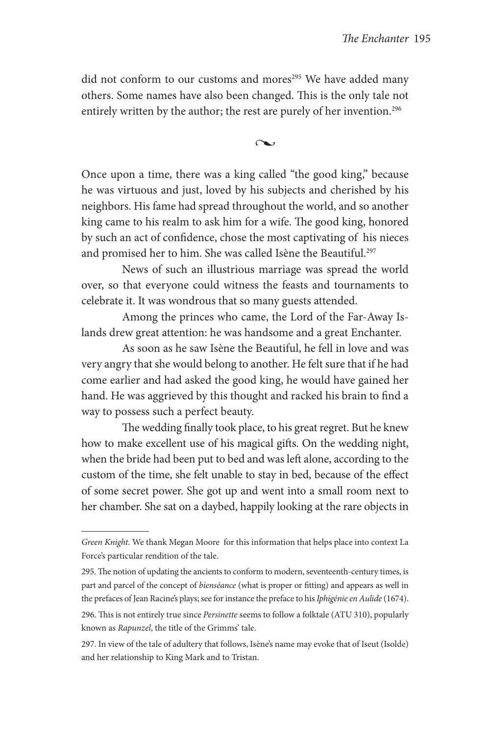did not conform to our customs and mores<sup>295</sup> We have added many others. Some names have also been changed. This is the only tale not entirely written by the author; the rest are purely of her invention.<sup>296</sup>

 $\sim$ 

Once upon a time, there was a king called "the good king," because he was virtuous and just, loved by his subjects and cherished by his neighbors. His fame had spread throughout the world, and so another king came to his realm to ask him for a wife. The good king, honored by such an act of confidence, chose the most captivating of his nieces and promised her to him. She was called Isène the Beautiful.<sup>297</sup>

News of such an illustrious marriage was spread the world over, so that everyone could witness the feasts and tournaments to celebrate it. It was wondrous that so many guests attended.

Among the princes who came, the Lord of the Far-Away Islands drew great attention: he was handsome and a great Enchanter.

As soon as he saw Isène the Beautiful, he fell in love and was very angry that she would belong to another. He felt sure that if he had come earlier and had asked the good king, he would have gained her hand. He was aggrieved by this thought and racked his brain to find a way to possess such a perfect beauty.

The wedding finally took place, to his great regret. But he knew how to make excellent use of his magical gifts. On the wedding night, when the bride had been put to bed and was left alone, according to the custom of the time, she felt unable to stay in bed, because of the effect of some secret power. She got up and went into a small room next to her chamber. She sat on a daybed, happily looking at the rare objects in

*Green Knight.* We thank Megan Moore for this information that helps place into context La Force's particular rendition of the tale.

<sup>295.</sup> The notion of updating the ancients to conform to modern, seventeenth-century times, is part and parcel of the concept of *bienséance* (what is proper or fitting) and appears as well in the prefaces of Jean Racine's plays; see for instance the preface to his *Iphigénie en Aulide* (1674).

<sup>296.</sup> This is not entirely true since *Persinette* seems to follow a folktale (ATU 310), popularly known as *Rapunzel*, the title of the Grimms' tale.

<sup>297.</sup> In view of the tale of adultery that follows, Isène's name may evoke that of Iseut (Isolde) and her relationship to King Mark and to Tristan.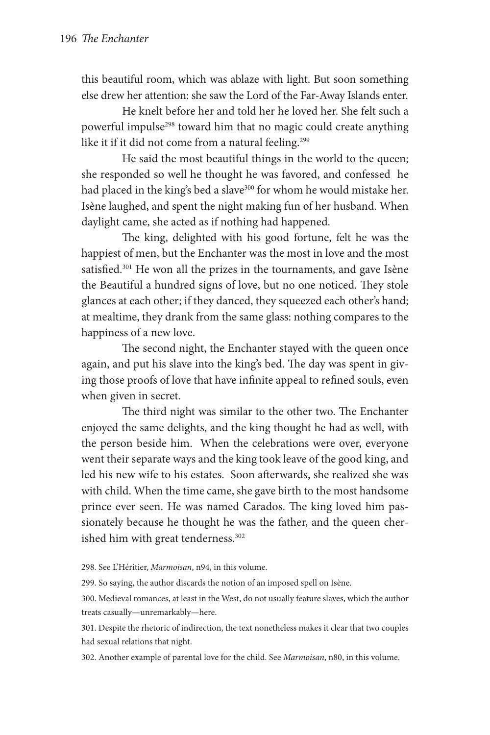this beautiful room, which was ablaze with light. But soon something else drew her attention: she saw the Lord of the Far-Away Islands enter.

He knelt before her and told her he loved her. She felt such a powerful impulse<sup>298</sup> toward him that no magic could create anything like it if it did not come from a natural feeling.<sup>299</sup>

He said the most beautiful things in the world to the queen; she responded so well he thought he was favored, and confessed he had placed in the king's bed a slave<sup>300</sup> for whom he would mistake her. Isène laughed, and spent the night making fun of her husband. When daylight came, she acted as if nothing had happened.

The king, delighted with his good fortune, felt he was the happiest of men, but the Enchanter was the most in love and the most satisfied.<sup>301</sup> He won all the prizes in the tournaments, and gave Isène the Beautiful a hundred signs of love, but no one noticed. They stole glances at each other; if they danced, they squeezed each other's hand; at mealtime, they drank from the same glass: nothing compares to the happiness of a new love.

The second night, the Enchanter stayed with the queen once again, and put his slave into the king's bed. The day was spent in giving those proofs of love that have infinite appeal to refined souls, even when given in secret.

The third night was similar to the other two. The Enchanter enjoyed the same delights, and the king thought he had as well, with the person beside him. When the celebrations were over, everyone went their separate ways and the king took leave of the good king, and led his new wife to his estates. Soon afterwards, she realized she was with child. When the time came, she gave birth to the most handsome prince ever seen. He was named Carados. The king loved him passionately because he thought he was the father, and the queen cherished him with great tenderness.<sup>302</sup>

298. See L'Héritier, *Marmoisan*, n94, in this volume.

299. So saying, the author discards the notion of an imposed spell on Isène.

300. Medieval romances, at least in the West, do not usually feature slaves, which the author treats casually—unremarkably—here.

301. Despite the rhetoric of indirection, the text nonetheless makes it clear that two couples had sexual relations that night.

302. Another example of parental love for the child. See *Marmoisan*, n80, in this volume.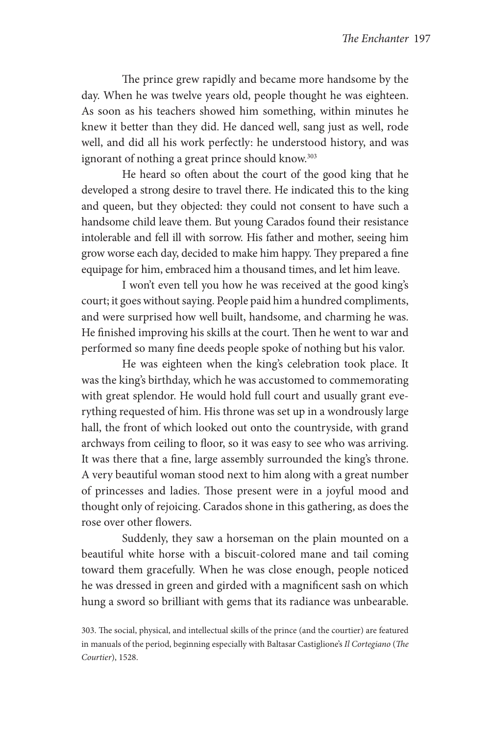The prince grew rapidly and became more handsome by the day. When he was twelve years old, people thought he was eighteen. As soon as his teachers showed him something, within minutes he knew it better than they did. He danced well, sang just as well, rode well, and did all his work perfectly: he understood history, and was ignorant of nothing a great prince should know.<sup>303</sup>

He heard so often about the court of the good king that he developed a strong desire to travel there. He indicated this to the king and queen, but they objected: they could not consent to have such a handsome child leave them. But young Carados found their resistance intolerable and fell ill with sorrow. His father and mother, seeing him grow worse each day, decided to make him happy. They prepared a fine equipage for him, embraced him a thousand times, and let him leave.

I won't even tell you how he was received at the good king's court; it goes without saying. People paid him a hundred compliments, and were surprised how well built, handsome, and charming he was. He finished improving his skills at the court. Then he went to war and performed so many fine deeds people spoke of nothing but his valor.

He was eighteen when the king's celebration took place. It was the king's birthday, which he was accustomed to commemorating with great splendor. He would hold full court and usually grant everything requested of him. His throne was set up in a wondrously large hall, the front of which looked out onto the countryside, with grand archways from ceiling to floor, so it was easy to see who was arriving. It was there that a fine, large assembly surrounded the king's throne. A very beautiful woman stood next to him along with a great number of princesses and ladies. Those present were in a joyful mood and thought only of rejoicing. Carados shone in this gathering, as does the rose over other flowers.

Suddenly, they saw a horseman on the plain mounted on a beautiful white horse with a biscuit-colored mane and tail coming toward them gracefully. When he was close enough, people noticed he was dressed in green and girded with a magnificent sash on which hung a sword so brilliant with gems that its radiance was unbearable.

303. The social, physical, and intellectual skills of the prince (and the courtier) are featured in manuals of the period, beginning especially with Baltasar Castiglione's *Il Cortegiano* (*The Courtier*), 1528.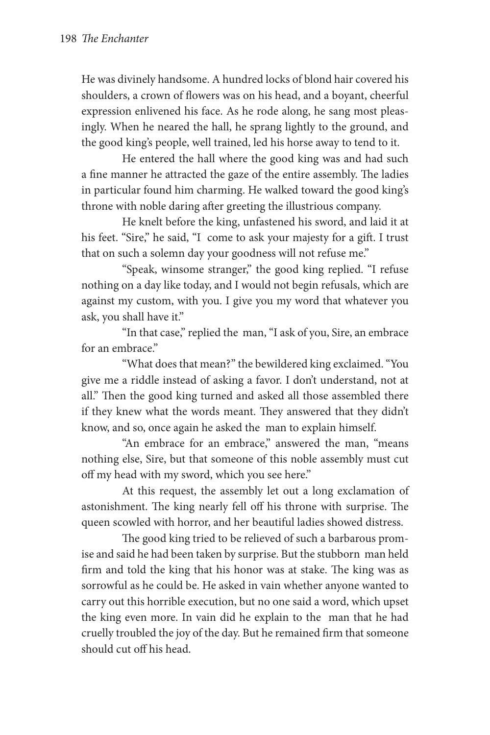He was divinely handsome. A hundred locks of blond hair covered his shoulders, a crown of flowers was on his head, and a boyant, cheerful expression enlivened his face. As he rode along, he sang most pleasingly. When he neared the hall, he sprang lightly to the ground, and the good king's people, well trained, led his horse away to tend to it.

He entered the hall where the good king was and had such a fine manner he attracted the gaze of the entire assembly. The ladies in particular found him charming. He walked toward the good king's throne with noble daring after greeting the illustrious company.

He knelt before the king, unfastened his sword, and laid it at his feet. "Sire," he said, "I come to ask your majesty for a gift. I trust that on such a solemn day your goodness will not refuse me."

"Speak, winsome stranger," the good king replied. "I refuse nothing on a day like today, and I would not begin refusals, which are against my custom, with you. I give you my word that whatever you ask, you shall have it."

"In that case," replied the man, "I ask of you, Sire, an embrace for an embrace."

"What does that mean?" the bewildered king exclaimed. "You give me a riddle instead of asking a favor. I don't understand, not at all." Then the good king turned and asked all those assembled there if they knew what the words meant. They answered that they didn't know, and so, once again he asked the man to explain himself.

"An embrace for an embrace," answered the man, "means nothing else, Sire, but that someone of this noble assembly must cut off my head with my sword, which you see here."

At this request, the assembly let out a long exclamation of astonishment. The king nearly fell off his throne with surprise. The queen scowled with horror, and her beautiful ladies showed distress.

The good king tried to be relieved of such a barbarous promise and said he had been taken by surprise. But the stubborn man held firm and told the king that his honor was at stake. The king was as sorrowful as he could be. He asked in vain whether anyone wanted to carry out this horrible execution, but no one said a word, which upset the king even more. In vain did he explain to the man that he had cruelly troubled the joy of the day. But he remained firm that someone should cut off his head.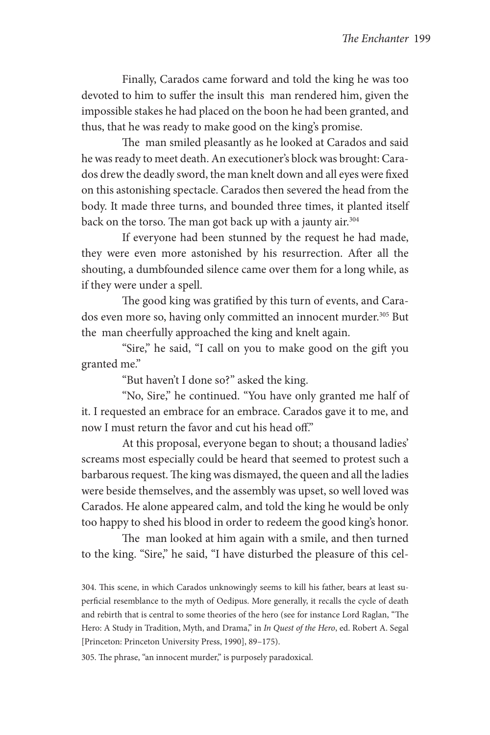Finally, Carados came forward and told the king he was too devoted to him to suffer the insult this man rendered him, given the impossible stakes he had placed on the boon he had been granted, and thus, that he was ready to make good on the king's promise.

The man smiled pleasantly as he looked at Carados and said he was ready to meet death. An executioner's block was brought: Carados drew the deadly sword, the man knelt down and all eyes were fixed on this astonishing spectacle. Carados then severed the head from the body. It made three turns, and bounded three times, it planted itself back on the torso. The man got back up with a jaunty air.<sup>304</sup>

If everyone had been stunned by the request he had made, they were even more astonished by his resurrection. After all the shouting, a dumbfounded silence came over them for a long while, as if they were under a spell.

The good king was gratified by this turn of events, and Carados even more so, having only committed an innocent murder.<sup>305</sup> But the man cheerfully approached the king and knelt again.

"Sire," he said, "I call on you to make good on the gift you granted me."

"But haven't I done so?" asked the king.

"No, Sire," he continued. "You have only granted me half of it. I requested an embrace for an embrace. Carados gave it to me, and now I must return the favor and cut his head off."

At this proposal, everyone began to shout; a thousand ladies' screams most especially could be heard that seemed to protest such a barbarous request. The king was dismayed, the queen and all the ladies were beside themselves, and the assembly was upset, so well loved was Carados. He alone appeared calm, and told the king he would be only too happy to shed his blood in order to redeem the good king's honor.

The man looked at him again with a smile, and then turned to the king. "Sire," he said, "I have disturbed the pleasure of this cel-

304. This scene, in which Carados unknowingly seems to kill his father, bears at least superficial resemblance to the myth of Oedipus. More generally, it recalls the cycle of death and rebirth that is central to some theories of the hero (see for instance Lord Raglan, "The Hero: A Study in Tradition, Myth, and Drama," in *In Quest of the Hero*, ed. Robert A. Segal [Princeton: Princeton University Press, 1990], 89–175).

305. The phrase, "an innocent murder," is purposely paradoxical.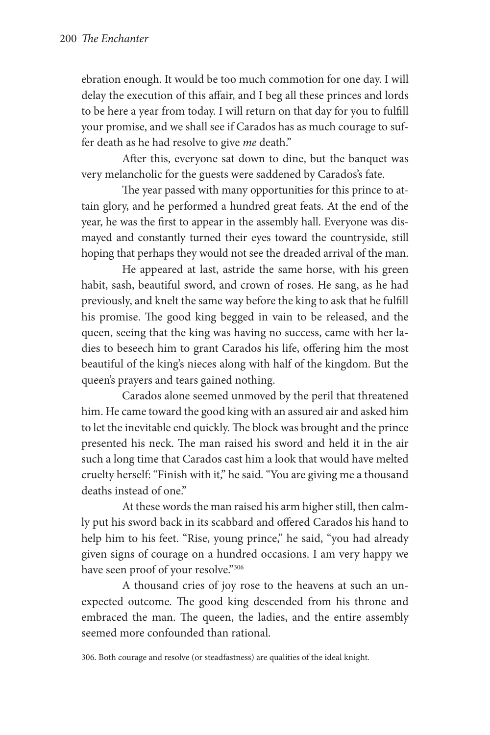ebration enough. It would be too much commotion for one day. I will delay the execution of this affair, and I beg all these princes and lords to be here a year from today. I will return on that day for you to fulfill your promise, and we shall see if Carados has as much courage to suffer death as he had resolve to give *me* death."

After this, everyone sat down to dine, but the banquet was very melancholic for the guests were saddened by Carados's fate.

The year passed with many opportunities for this prince to attain glory, and he performed a hundred great feats. At the end of the year, he was the first to appear in the assembly hall. Everyone was dismayed and constantly turned their eyes toward the countryside, still hoping that perhaps they would not see the dreaded arrival of the man.

He appeared at last, astride the same horse, with his green habit, sash, beautiful sword, and crown of roses. He sang, as he had previously, and knelt the same way before the king to ask that he fulfill his promise. The good king begged in vain to be released, and the queen, seeing that the king was having no success, came with her ladies to beseech him to grant Carados his life, offering him the most beautiful of the king's nieces along with half of the kingdom. But the queen's prayers and tears gained nothing.

Carados alone seemed unmoved by the peril that threatened him. He came toward the good king with an assured air and asked him to let the inevitable end quickly. The block was brought and the prince presented his neck. The man raised his sword and held it in the air such a long time that Carados cast him a look that would have melted cruelty herself: "Finish with it," he said. "You are giving me a thousand deaths instead of one"

At these words the man raised his arm higher still, then calmly put his sword back in its scabbard and offered Carados his hand to help him to his feet. "Rise, young prince," he said, "you had already given signs of courage on a hundred occasions. I am very happy we have seen proof of your resolve."306

A thousand cries of joy rose to the heavens at such an unexpected outcome. The good king descended from his throne and embraced the man. The queen, the ladies, and the entire assembly seemed more confounded than rational.

306. Both courage and resolve (or steadfastness) are qualities of the ideal knight.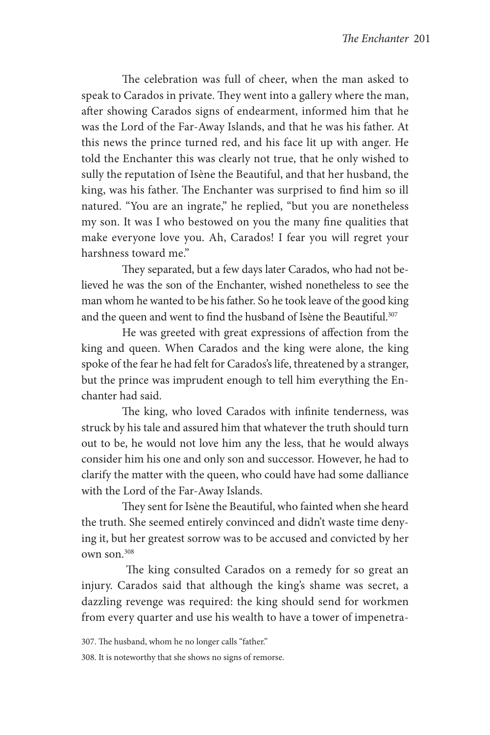The celebration was full of cheer, when the man asked to speak to Carados in private. They went into a gallery where the man, after showing Carados signs of endearment, informed him that he was the Lord of the Far-Away Islands, and that he was his father. At this news the prince turned red, and his face lit up with anger. He told the Enchanter this was clearly not true, that he only wished to sully the reputation of Isène the Beautiful, and that her husband, the king, was his father. The Enchanter was surprised to find him so ill natured. "You are an ingrate," he replied, "but you are nonetheless my son. It was I who bestowed on you the many fine qualities that make everyone love you. Ah, Carados! I fear you will regret your harshness toward me."

They separated, but a few days later Carados, who had not believed he was the son of the Enchanter, wished nonetheless to see the man whom he wanted to be his father. So he took leave of the good king and the queen and went to find the husband of Isène the Beautiful.<sup>307</sup>

He was greeted with great expressions of affection from the king and queen. When Carados and the king were alone, the king spoke of the fear he had felt for Carados's life, threatened by a stranger, but the prince was imprudent enough to tell him everything the Enchanter had said.

The king, who loved Carados with infinite tenderness, was struck by his tale and assured him that whatever the truth should turn out to be, he would not love him any the less, that he would always consider him his one and only son and successor. However, he had to clarify the matter with the queen, who could have had some dalliance with the Lord of the Far-Away Islands.

They sent for Isène the Beautiful, who fainted when she heard the truth. She seemed entirely convinced and didn't waste time denying it, but her greatest sorrow was to be accused and convicted by her own son.308

 The king consulted Carados on a remedy for so great an injury. Carados said that although the king's shame was secret, a dazzling revenge was required: the king should send for workmen from every quarter and use his wealth to have a tower of impenetra-

307. The husband, whom he no longer calls "father."

308. It is noteworthy that she shows no signs of remorse.